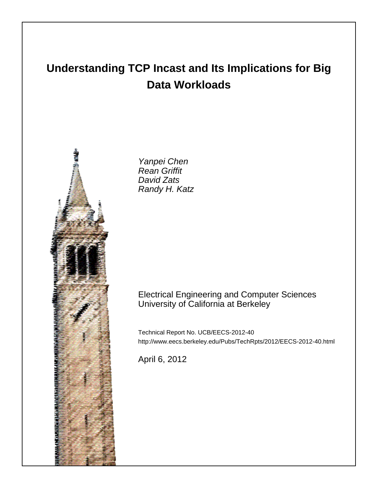# **Understanding TCP Incast and Its Implications for Big Data Workloads**



Yanpei Chen Rean Griffit David Zats Randy H. Katz

# Electrical Engineering and Computer Sciences University of California at Berkeley

Technical Report No. UCB/EECS-2012-40 http://www.eecs.berkeley.edu/Pubs/TechRpts/2012/EECS-2012-40.html

April 6, 2012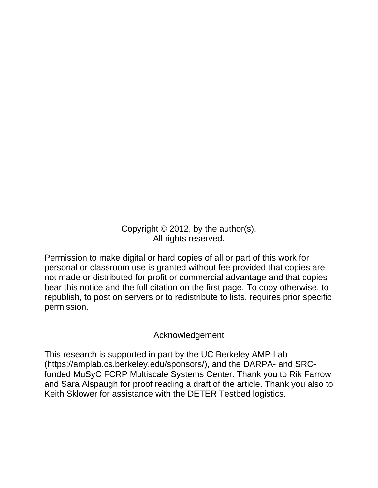Copyright © 2012, by the author(s). All rights reserved.

Permission to make digital or hard copies of all or part of this work for personal or classroom use is granted without fee provided that copies are not made or distributed for profit or commercial advantage and that copies bear this notice and the full citation on the first page. To copy otherwise, to republish, to post on servers or to redistribute to lists, requires prior specific permission.

# Acknowledgement

This research is supported in part by the UC Berkeley AMP Lab (https://amplab.cs.berkeley.edu/sponsors/), and the DARPA- and SRCfunded MuSyC FCRP Multiscale Systems Center. Thank you to Rik Farrow and Sara Alspaugh for proof reading a draft of the article. Thank you also to Keith Sklower for assistance with the DETER Testbed logistics.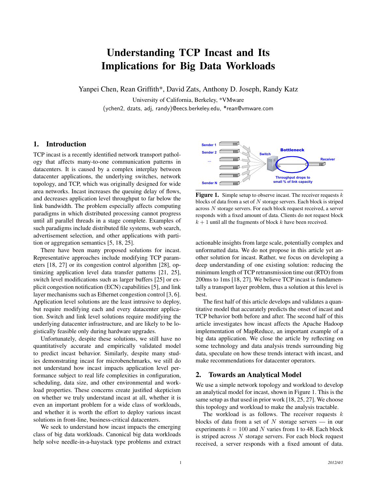# Understanding TCP Incast and Its Implications for Big Data Workloads

Yanpei Chen, Rean Griffith\*, David Zats, Anthony D. Joseph, Randy Katz

University of California, Berkeley, \*VMware (ychen2, dzats, adj, randy)@eecs.berkeley.edu, \*rean@vmware.com

# 1. Introduction

TCP incast is a recently identified network transport pathology that affects many-to-one communication patterns in datacenters. It is caused by a complex interplay between datacenter applications, the underlying switches, network topology, and TCP, which was originally designed for wide area networks. Incast increases the queuing delay of flows, and decreases application level throughput to far below the link bandwidth. The problem especially affects computing paradigms in which distributed processing cannot progress until all parallel threads in a stage complete. Examples of such paradigms include distributed file systems, web search, advertisement selection, and other applications with partition or aggregation semantics [5, 18, 25].

There have been many proposed solutions for incast. Representative approaches include modifying TCP parameters [18, 27] or its congestion control algorithm [28], optimizing application level data transfer patterns [21, 25], switch level modifications such as larger buffers [25] or explicit congestion notification (ECN) capabilities [5], and link layer mechanisms such as Ethernet congestion control [3, 6]. Application level solutions are the least intrusive to deploy, but require modifying each and every datacenter application. Switch and link level solutions require modifying the underlying datacenter infrastructure, and are likely to be logistically feasible only during hardware upgrades.

Unfortunately, despite these solutions, we still have no quantitatively accurate and empirically validated model to predict incast behavior. Similarly, despite many studies demonstrating incast for microbenchmarks, we still do not understand how incast impacts application level performance subject to real life complexities in configuration, scheduling, data size, and other environmental and workload properties. These concerns create justified skepticism on whether we truly understand incast at all, whether it is even an important problem for a wide class of workloads, and whether it is worth the effort to deploy various incast solutions in front-line, business-critical datacenters.

We seek to understand how incast impacts the emerging class of big data workloads. Canonical big data workloads help solve needle-in-a-haystack type problems and extract



**Figure 1.** Simple setup to observe incast. The receiver requests  $k$ blocks of data from a set of  $N$  storage servers. Each block is striped across N storage servers. For each block request received, a server responds with a fixed amount of data. Clients do not request block  $k + 1$  until all the fragments of block  $k$  have been received.

actionable insights from large scale, potentially complex and unformatted data. We do not propose in this article yet another solution for incast. Rather, we focus on developing a deep understanding of one existing solution: reducing the minimum length of TCP retransmission time out (RTO) from 200ms to 1ms [18, 27]. We believe TCP incast is fundamentally a transport layer problem, thus a solution at this level is best.

The first half of this article develops and validates a quantitative model that accurately predicts the onset of incast and TCP behavior both before and after. The second half of this article investigates how incast affects the Apache Hadoop implementation of MapReduce, an important example of a big data application. We close the article by reflecting on some technology and data analysis trends surrounding big data, speculate on how these trends interact with incast, and make recommendations for datacenter operators.

# 2. Towards an Analytical Model

We use a simple network topology and workload to develop an analytical model for incast, shown in Figure 1. This is the same setup as that used in prior work [18, 25, 27]. We choose this topology and workload to make the analysis tractable.

The workload is as follows. The receiver requests  $k$ blocks of data from a set of  $N$  storage servers — in our experiments  $k = 100$  and N varies from 1 to 48. Each block is striped across  $N$  storage servers. For each block request received, a server responds with a fixed amount of data.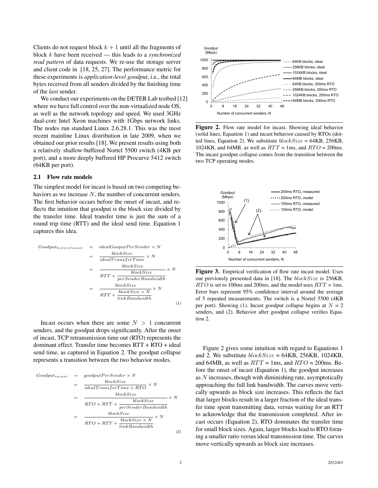Clients do not request block  $k + 1$  until all the fragments of block k have been received — this leads to a *synchronized read pattern* of data requests. We re-use the storage server and client code in [18, 25, 27]. The performance metric for these experiments is *application-level goodput*, i.e., the total bytes received from all senders divided by the finishing time of the *last* sender.

We conduct our experiments on the DETER Lab testbed [12] where we have full control over the non-virtualized node OS, as well as the network topology and speed. We used 3GHz dual-core Intel Xeon machines with 1Gbps network links. The nodes run standard Linux 2.6.28.1. This was the most recent mainline Linux distribution in late 2009, when we obtained our prior results [18]. We present results using both a relatively shallow-buffered Nortel 5500 switch (4KB per port), and a more deeply buffered HP Procurve 5412 switch (64KB per port).

#### 2.1 Flow rate models

The simplest model for incast is based on two competing behaviors as we increase N, the number of concurrent senders. The first behavior occurs before the onset of incast, and reflects the intuition that goodput is the block size divided by the transfer time. Ideal transfer time is just the sum of a round trip time (RTT) and the ideal send time. Equation 1 captures this idea.

$$
Good put_{beforeIncast} = ideal GooputPerSender \times N
$$

\n
$$
= \frac{blockSize}{idealTransferTime} \times N
$$
\n
$$
= \frac{blockSize}{RTT + \frac{blockSize}{perSenderBandwidth}} \times N
$$
\n
$$
= \frac{blockSize \times N}{RTT + \frac{blockSize \times N}{linkBandwidth}} \times N
$$
\n
$$
(1)
$$

Incast occurs when there are some  $N > 1$  concurrent senders, and the goodput drops significantly. After the onset of incast, TCP retransmission time out (RTO) represents the dominant effect. Transfer time becomes RTT + RTO + ideal send time, as captured in Equation 2. The goodput collapse represents a transition between the two behavior modes.

$$
Goodput_{incast} = goodputPerSender \times N
$$

\n
$$
= \frac{blockSize}{idealTransferTime + RTO} \times N
$$

\n
$$
= \frac{blockSize}{RTO + RTT + \frac{blockSize}{perSenderBandwidth}}
$$

\n
$$
= \frac{blockSize}{RTO + RTT + \frac{blockSize \times N}{linkBandwidth}} \times N
$$

\n(2)



Figure 2. Flow rate model for incast. Showing ideal behavior (solid lines, Equation 1) and incast behavior caused by RTOs (dotted lines, Equation 2). We substitute  $blockSize = 64KB, 256KB,$ 1024KB, and 64MB, as well as  $RTT = 1$ ms, and  $RTO = 200$ ms. The incast goodput collapse comes from the transition between the two TCP operating modes.



Figure 3. Empirical verification of flow rate incast model. Uses our previously presented data in [18]. The blockSize is 256KB,  $RTO$  is set to 100ms and 200ms, and the model uses  $RTT = 1$ ms. Error bars represent 95% confidence interval around the average of 5 repeated measurements. The switch is a Nortel 5500 (4KB per port). Showing (1). Incast goodput collapse begins at  $N = 2$ senders, and (2). Behavior after goodput collapse verifies Equation 2.

Figure 2 gives some intuition with regard to Equations 1 and 2. We substitute  $blockSize = 64KB, 256KB, 1024KB,$ and 64MB, as well as  $RTT = 1$ ms, and  $RTO = 200$ ms. Before the onset of incast (Equation 1), the goodput increases as N increases, though with diminishing rate, asymptotically approaching the full link bandwidth. The curves move vertically upwards as block size increases. This reflects the fact that larger blocks result in a larger fraction of the ideal transfer time spent transmitting data, versus waiting for an RTT to acknowledge that the transmission completed. After incast occurs (Equation 2), RTO dominates the transfer time for small block sizes. Again, larger blocks lead to RTO forming a smaller ratio versus ideal transmission time. The curves move vertically upwards as block size increases.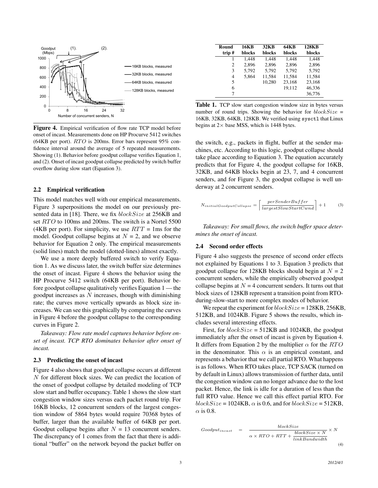

Figure 4. Empirical verification of flow rate TCP model before onset of incast. Measurements done on HP Procurve 5412 switches  $(64KB$  per port).  $RTO$  is 200ms. Error bars represent 95% confidence interval around the average of 5 repeated measurements. Showing (1). Behavior before goodput collapse verifies Equation 1, and (2). Onset of incast goodput collapse predicted by switch buffer overflow during slow start (Equation 3).

#### 2.2 Empirical verification

This model matches well with our empirical measurements. Figure 3 superpositions the model on our previously presented data in [18]. There, we fix blockSize at 256KB and set RTO to 100ms and 200ms. The switch is a Nortel 5500 (4KB per port). For simplicity, we use  $RTT = 1$ ms for the model. Goodput collapse begins at  $N = 2$ , and we observe behavior for Equation 2 only. The empirical measurements (solid lines) match the model (dotted-lines) almost exactly.

We use a more deeply buffered switch to verify Equation 1. As we discuss later, the switch buffer size determines the onset of incast. Figure 4 shows the behavior using the HP Procurve 5412 switch (64KB per port). Behavior before goodput collapse qualitatively verifies Equation 1 — the goodput increases as  $N$  increases, though with diminishing rate; the curves move vertically upwards as block size increases. We can see this graphically by comparing the curves in Figure 4 before the goodput collapse to the corresponding curves in Figure 2.

*Takeaway: Flow rate model captures behavior before onset of incast. TCP RTO dominates behavior after onset of incast.*

#### 2.3 Predicting the onset of incast

Figure 4 also shows that goodput collapse occurs at different N for different block sizes. We can predict the location of the onset of goodput collapse by detailed modeling of TCP slow start and buffer occupancy. Table 1 shows the slow start congestion window sizes versus each packet round trip. For 16KB blocks, 12 concurrent senders of the largest congestion window of 5864 bytes would require 70368 bytes of buffer, larger than the available buffer of 64KB per port. Goodput collapse begins after  $N = 13$  concurrent senders. The discrepancy of 1 comes from the fact that there is additional "buffer" on the network beyond the packet buffer on

| Round<br>trip# | 16KB<br>blocks | 32 <sub>K</sub> B<br>blocks | 64KB<br>blocks | <b>128KB</b><br>blocks |
|----------------|----------------|-----------------------------|----------------|------------------------|
|                | 1.448          | 1.448                       | 1.448          | 1.448                  |
| 2              | 2.896          | 2.896                       | 2.896          | 2.896                  |
| 3              | 5,792          | 5.792                       | 5.792          | 5.792                  |
| 4              | 5,864          | 11,584                      | 11,584         | 11,584                 |
| 5              |                | 10.280                      | 23,168         | 23,168                 |
| 6              |                |                             | 19.112         | 46,336                 |
|                |                |                             |                | 36,776                 |

Table 1. TCP slow start congestion window size in bytes versus number of round trips. Showing the behavior for  $blockSize =$ 16KB, 32KB, 64KB, 128KB. We verified using sysctl that Linux begins at  $2 \times$  base MSS, which is 1448 bytes.

the switch, e.g., packets in flight, buffer at the sender machines, etc. According to this logic, goodput collapse should take place according to Equation 3. The equation accurately predicts that for Figure 4, the goodput collapse for 16KB, 32KB, and 64KB blocks begin at 23, 7, and 4 concurrent senders, and for Figure 3, the goodput collapse is well underway at 2 concurrent senders.

$$
N_{initialGood put College} = \left\lceil \frac{perSenderBuffer}{largest SlowStartCwnd} \right\rceil + 1 \tag{3}
$$

*Takeaway: For small flows, the switch buffer space determines the onset of incast.*

#### 2.4 Second order effects

Figure 4 also suggests the presence of second order effects not explained by Equations 1 to 3. Equation 3 predicts that goodput collapse for 128KB blocks should begin at  $N = 2$ concurrent senders, while the empirically observed goodput collapse begins at  $N = 4$  concurrent senders. It turns out that block sizes of 128KB represent a transition point from RTOduring-slow-start to more complex modes of behavior.

We repeat the experiment for  $blockSize = 128KB, 256KB,$ 512KB, and 1024KB. Figure 5 shows the results, which includes several interesting effects.

First, for  $blockSize = 512KB$  and 1024KB, the goodput immediately after the onset of incast is given by Equation 4. It differs from Equation 2 by the multiplier  $\alpha$  for the RTO in the denominator. This  $\alpha$  is an empirical constant, and represents a behavior that we call partial RTO. What happens is as follows. When RTO takes place, TCP SACK (turned on by default in Linux) allows transmission of further data, until the congestion window can no longer advance due to the lost packet. Hence, the link is idle for a duration of less than the full RTO value. Hence we call this effect partial RTO. For  $blockSize = 1024KB$ ,  $\alpha$  is 0.6, and for  $blockSize = 512KB$ ,  $\alpha$  is 0.8.

$$
Good put_{incast} = \frac{blockSize}{\alpha \times RTO + RTT + \frac{blockSize \times N}{linkBandwidth}} \times N
$$
\n(4)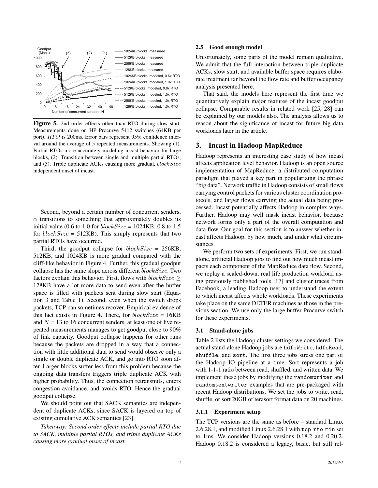

Figure 5. 2nd order effects other than RTO during slow start. Measurements done on HP Procurve 5412 switches (64KB per port). RTO is 200ms. Error bars represent 95% confidence interval around the average of 5 repeated measurements. Showing (1). Partial RTOs more accurately modeling incast behavior for large blocks, (2). Transition between single and multiple partial RTOs, and  $(3)$ . Triple duplicate ACKs causing more gradual,  $blockSize$ independent onset of incast.

Second, beyond a certain number of concurrent senders,  $\alpha$  transitions to something that approximately doubles its initial value (0.6 to 1.0 for  $blockSize = 1024KB$ , 0.8 to 1.5 for  $blockSize = 512KB$ . This simply represents that two partial RTOs have occurred.

Third, the goodput collapse for  $blockSize = 256KB$ , 512KB, and 1024KB is more gradual compared with the cliff-like behavior in Figure 4. Further, this gradual goodput collapse has the same slope across different  $blockSize$ . Two factors explain this behavior. First, flows with  $blockSize$ 128KB have a lot more data to send even after the buffer space is filled with packets sent during slow start (Equation 3 and Table 1). Second, even when the switch drops packets, TCP can sometimes recover. Empirical evidence of this fact exists in Figure 4. There, for  $blockSize = 16KB$ and  $N = 13$  to 16 concurrent senders, at least one of five repeated measurements manages to get goodput close to 90% of link capacity. Goodput collapse happens for other runs because the packets are dropped in a way that a connection with little additional data to send would observe only a single or double duplicate ACK, and go into RTO soon after. Larger blocks suffer less from this problem because the ongoing data transfers triggers triple duplicate ACK with higher probability. Thus, the connection retransmits, enters congestion avoidance, and avoids RTO. Hence the gradual goodput collapse.

We should point out that SACK semantics are independent of duplicate ACKs, since SACK is layered on top of existing cumulative ACK semantics [23].

*Takeaway: Second order effects include partial RTO due to SACK, multiple partial RTOs, and triple duplicate ACKs causing more gradual onset of incast.*

#### 2.5 Good enough model

Unfortunately, some parts of the model remain qualitative. We admit that the full interaction between triple duplicate ACKs, slow start, and available buffer space requires elaborate treatment far beyond the flow rate and buffer occupancy analysis presented here.

That said, the models here represent the first time we quantitatively explain major features of the incast goodput collapse. Comparable results in related work [25, 28] can be explained by our models also. The analysis allows us to reason about the significance of incast for future big data workloads later in the article.

# 3. Incast in Hadoop MapReduce

Hadoop represents an interesting case study of how incast affects application level behavior. Hadoop is an open source implementation of MapReduce, a distributed computation paradigm that played a key part in popularizing the phrase "big data". Network traffic in Hadoop consists of small flows carrying control packets for various cluster coordination protocols, and larger flows carrying the actual data being processed. Incast potentially affects Hadoop in complex ways. Further, Hadoop may well mask incast behavior, because network forms only a part of the overall computation and data flow. Our goal for this section is to answer whether incast affects Hadoop, by how much, and under what circumstances.

We perform two sets of experiments. First, we run standalone, artificial Hadoop jobs to find out how much incast impacts each component of the MapReduce data flow. Second, we replay a scaled-down, real life production workload using previously published tools [17] and cluster traces from Facebook, a leading Hadoop user to understand the extent to which incast affects whole workloads. These experiments take place on the same DETER machines as those in the previous section. We use only the large buffer Procurve switch for these experiments.

#### 3.1 Stand-alone jobs

Table 2 lists the Hadoop cluster settings we considered. The actual stand-alone Hadoop jobs are hdfsWrite, hdfsRead, shuffle, and sort. The first three jobs stress one part of the Hadoop IO pipeline at a time. Sort represents a job with 1-1-1 ratio between read, shuffled, and written data. We implement these jobs by modifying the randomwriter and randomtextwriter examples that are pre-packaged with recent Hadoop distributions. We set the jobs to write, read, shuffle, or sort 20GB of terasort format data on 20 machines.

#### 3.1.1 Experiment setup

The TCP versions are the same as before – standard Linux 2.6.28.1, and modified Linux 2.6.28.1 with tcp rto min set to 1ms. We consider Hadoop versions 0.18.2 and 0.20.2. Hadoop 0.18.2 is considered a legacy, basic, but still rel-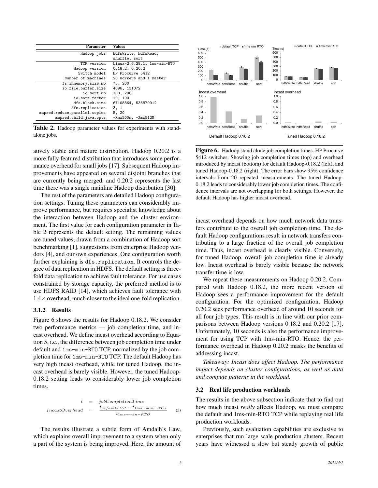| Parameter                     | Values                      |  |
|-------------------------------|-----------------------------|--|
| Hadoop jobs                   | hdfsWrite, hdfsRead,        |  |
|                               | shuffle, sort               |  |
| TCP version                   | Linux-2.6.28.1, 1ms-min-RTO |  |
| Hadoop version                | 0.18.2, 0.20.2              |  |
| Switch model                  | HP Procurve 5412            |  |
| Number of machines            | 20 workers and 1 master     |  |
| fs.inmemory.size.mb           | 75, 200                     |  |
| io.file.buffer.size           | 4096, 131072                |  |
| io.sort.mb                    | 100, 200                    |  |
| io.sort.factor                | 10, 100                     |  |
| dfs.block.size                | 67108864, 536870912         |  |
| dfs.replication               | 3.1                         |  |
| mapred.reduce.parallel.copies | 5, 20                       |  |
| mapred.child.java.opts        | $-Xmx200m$ , $-Xmx512M$     |  |
|                               |                             |  |

Table 2. Hadoop parameter values for experiments with standalone jobs.

atively stable and mature distribution. Hadoop 0.20.2 is a more fully featured distribution that introduces some performance overhead for small jobs [17]. Subsequent Hadoop improvements have appeared on several disjoint branches that are currently being merged, and 0.20.2 represents the last time there was a single mainline Hadoop distribution [30].

The rest of the parameters are detailed Hadoop configuration settings. Tuning these parameters can considerably improve performance, but requires specialist knowledge about the interaction between Hadoop and the cluster environment. The first value for each configuration parameter in Table 2 represents the default setting. The remaining values are tuned values, drawn from a combination of Hadoop sort benchmarking [1], suggestions from enterprise Hadoop vendors [4], and our own experiences. One configuration worth further explaining is dfs.replication. It controls the degree of data replication in HDFS. The default setting is threefold data replication to achieve fault tolerance. For use cases constrained by storage capacity, the preferred method is to use HDFS RAID [14], which achieves fault tolerance with 1.4× overhead, much closer to the ideal one-fold replication.

#### 3.1.2 Results

Figure 6 shows the results for Hadoop 0.18.2. We consider two performance metrics — job completion time, and incast overhead. We define incast overhead according to Equation 5, i.e., the difference between job completion time under default and 1ms-min-RTO TCP, normalized by the job completion time for 1ms-min-RTO TCP. The default Hadoop has very high incast overhead, while for tuned Hadoop, the incast overhead is barely visible. However, the tuned Hadoop-0.18.2 setting leads to considerably lower job completion times.

$$
t = jobCompletionTime
$$
  
 
$$
In castOverhead = \frac{t_{defaultTCP} - t_{1ms-min-RTO}}{t_{1ms-min-RTO}}
$$
 (5)

The results illustrate a subtle form of Amdalh's Law, which explains overall improvement to a system when only a part of the system is being improved. Here, the amount of



Figure 6. Hadoop stand alone job completion times. HP Procurve 5412 switches. Showing job completion times (top) and overhead introduced by incast (bottom) for default Hadoop-0.18.2 (left), and tuned Hadoop-0.18.2 (right). The error bars show 95% confidence intervals from 20 repeated measurements. The tuned Hadoop-0.18.2 leads to considerably lower job completion times. The confidence intervals are not overlapping for both settings. However, the default Hadoop has higher incast overhead.

incast overhead depends on how much network data transfers contribute to the overall job completion time. The default Hadoop configurations result in network transfers contributing to a large fraction of the overall job completion time. Thus, incast overhead is clearly visible. Conversely, for tuned Hadoop, overall job completion time is already low. Incast overhead is barely visible because the network transfer time is low.

We repeat these measurements on Hadoop 0.20.2. Compared with Hadoop 0.18.2, the more recent version of Hadoop sees a performance improvement for the default configuration. For the optimized configuration, Hadoop 0.20.2 sees performance overhead of around 10 seconds for all four job types. This result is in line with our prior comparisons between Hadoop versions 0.18.2 and 0.20.2 [17]. Unfortunately, 10 seconds is also the performance improvement for using TCP with 1ms-min-RTO. Hence, the performance overhead in Hadoop 0.20.2 masks the benefits of addressing incast.

*Takeaway: Incast does affect Hadoop. The performance impact depends on cluster configurations, as well as data and compute patterns in the workload.*

#### 3.2 Real life production workloads

The results in the above subsection indicate that to find out how much incast *really* affects Hadoop, we must compare the default and 1ms-min-RTO TCP while replaying real life production workloads.

Previously, such evaluation capabilities are exclusive to enterprises that run large scale production clusters. Recent years have witnessed a slow but steady growth of public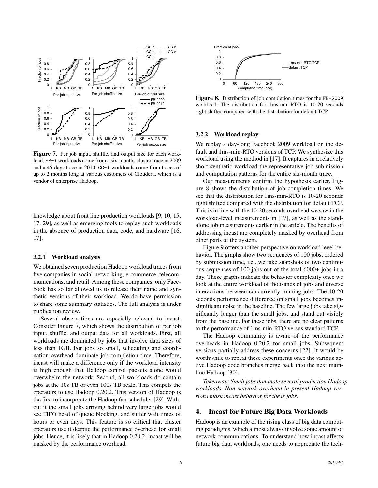

Figure 7. Per job input, shuffle, and output size for each workload. FB-\* workloads come from a six-months cluster trace in 2009 and a 45-days trace in 2010. CC-\* workloads come from traces of up to 2 months long at various customers of Cloudera, which is a vendor of enterprise Hadoop.

knowledge about front line production workloads [9, 10, 15, 17, 29], as well as emerging tools to replay such workloads in the absence of production data, code, and hardware [16, 17].

#### 3.2.1 Workload analysis

We obtained seven production Hadoop workload traces from five companies in social networking, e-commerce, telecommunications, and retail. Among these companies, only Facebook has so far allowed us to release their name and synthetic versions of their workload. We do have permission to share some summary statistics. The full analysis is under publication review.

Several observations are especially relevant to incast. Consider Figure 7, which shows the distribution of per job input, shuffle, and output data for all workloads. First, all workloads are dominated by jobs that involve data sizes of less than 1GB. For jobs so small, scheduling and coordination overhead dominate job completion time. Therefore, incast will make a difference only if the workload intensity is high enough that Hadoop control packets alone would overwhelm the network. Second, all workloads do contain jobs at the 10s TB or even 100s TB scale. This compels the operators to use Hadoop 0.20.2. This version of Hadoop is the first to incorporate the Hadoop fair scheduler [29]. Without it the small jobs arriving behind very large jobs would see FIFO head of queue blocking, and suffer wait times of hours or even days. This feature is so critical that cluster operators use it despite the performance overhead for small jobs. Hence, it is likely that in Hadoop 0.20.2, incast will be masked by the performance overhead.



Figure 8. Distribution of job completion times for the FB-2009 workload. The distribution for 1ms-min-RTO is 10-20 seconds right shifted compared with the distribution for default TCP.

#### 3.2.2 Workload replay

We replay a day-long Facebook 2009 workload on the default and 1ms-min-RTO versions of TCP. We synthesize this workload using the method in [17]. It captures in a relatively short synthetic workload the representative job submission and computation patterns for the entire six-month trace.

Our measurements confirm the hypothesis earlier. Figure 8 shows the distribution of job completion times. We see that the distribution for 1ms-min-RTO is 10-20 seconds right shifted compared with the distribution for default TCP. This is in line with the 10-20 seconds overhead we saw in the workload-level measurements in [17], as well as the standalone job measurements earlier in the article. The benefits of addressing incast are completely masked by overhead from other parts of the system.

Figure 9 offers another perspective on workload level behavior. The graphs show two sequences of 100 jobs, ordered by submission time, i.e., we take snapshots of two continuous sequences of 100 jobs out of the total 6000+ jobs in a day. These graphs indicate the behavior complexity once we look at the entire workload of thousands of jobs and diverse interactions between concurrently running jobs. The 10-20 seconds performance difference on small jobs becomes insignificant noise in the baseline. The few large jobs take significantly longer than the small jobs, and stand out visibly from the baseline. For these jobs, there are no clear patterns to the performance of 1ms-min-RTO versus standard TCP.

The Hadoop community is aware of the performance overheads in Hadoop 0.20.2 for small jobs. Subsequent versions partially address these concerns [22]. It would be worthwhile to repeat these experiments once the various active Hadoop code branches merge back into the next mainline Hadoop [30].

*Takeaway: Small jobs dominate several production Hadoop workloads. Non-network overhead in present Hadoop versions mask incast behavior for these jobs.*

## 4. Incast for Future Big Data Workloads

Hadoop is an example of the rising class of big data computing paradigms, which almost always involve some amount of network communications. To understand how incast affects future big data workloads, one needs to appreciate the tech-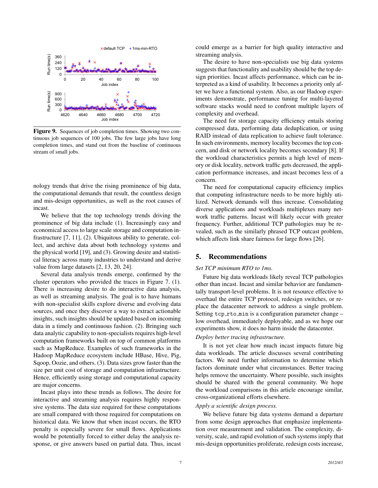

Figure 9. Sequences of job completion times. Showing two continuous job sequences of 100 jobs. The few large jobs have long completion times, and stand out from the baseline of continuous stream of small jobs.

nology trends that drive the rising prominence of big data, the computational demands that result, the countless design and mis-design opportunities, as well as the root causes of incast.

We believe that the top technology trends driving the prominence of big data include (1). Increasingly easy and economical access to large scale storage and computation infrastructure [7, 11], (2). Ubiquitous ability to generate, collect, and archive data about both technology systems and the physical world [19], and (3). Growing desire and statistical literacy across many industries to understand and derive value from large datasets [2, 13, 20, 24].

Several data analysis trends emerge, confirmed by the cluster operators who provided the traces in Figure 7. (1). There is increasing desire to do interactive data analysis, as well as streaming analysis. The goal is to have humans with non-specialist skills explore diverse and evolving data sources, and once they discover a way to extract actionable insights, such insights should be updated based on incoming data in a timely and continuous fashion. (2). Bringing such data analytic capability to non-specialists requires high-level computation frameworks built on top of common platforms such as MapReduce. Examples of such frameworks in the Hadoop MapReduce ecosystem include HBase, Hive, Pig, Sqoop, Oozie, and others. (3). Data sizes grow faster than the size per unit cost of storage and computation infrastructure. Hence, efficiently using storage and computational capacity are major concerns.

Incast plays into these trends as follows. The desire for interactive and streaming analysis requires highly responsive systems. The data size required for these computations are small compared with those required for computations on historical data. We know that when incast occurs, the RTO penalty is especially severe for small flows. Applications would be potentially forced to either delay the analysis response, or give answers based on partial data. Thus, incast could emerge as a barrier for high quality interactive and streaming analysis.

The desire to have non-specialists use big data systems suggests that functionality and usability should be the top design priorities. Incast affects performance, which can be interpreted as a kind of usability. It becomes a priority only after we have a functional system. Also, as our Hadoop experiments demonstrate, performance tuning for multi-layered software stacks would need to confront multiple layers of complexity and overhead.

The need for storage capacity efficiency entails storing compressed data, performing data deduplication, or using RAID instead of data replication to achieve fault tolerance. In such environments, memory locality becomes the top concern, and disk or network locality becomes secondary [8]. If the workload characteristics permits a high level of memory or disk locality, network traffic gets decreased, the application performance increases, and incast becomes less of a concern.

The need for computational capacity efficiency implies that computing infrastructure needs to be more highly utilized. Network demands will thus increase. Consolidating diverse applications and workloads multiplexes many network traffic patterns. Incast will likely occur with greater frequency. Further, additional TCP pathologies may be revealed, such as the similarly phrased TCP outcast problem, which affects link share fairness for large flows [26].

# 5. Recommendations

#### *Set TCP minimum RTO to 1ms.*

Future big data workloads likely reveal TCP pathologies other than incast. Incast and similar behavior are fundamentally transport-level problems. It is not resource effective to overhaul the entire TCP protocol, redesign switches, or replace the datacenter network to address a single problem. Setting tcp\_rto\_min is a configuration parameter change – low overhead, immediately deployable, and as we hope our experiments show, it does no harm inside the datacenter.

### *Deploy better tracing infrastructure.*

It is not yet clear how much incast impacts future big data workloads. The article discusses several contributing factors. We need further information to determine which factors dominate under what circumstances. Better tracing helps remove the uncertainty. Where possible, such insights should be shared with the general community. We hope the workload comparisons in this article encourage similar, cross-organizational efforts elsewhere.

## *Apply a scientific design process.*

We believe future big data systems demand a departure from some design approaches that emphasize implementation over measurement and validation. The complexity, diversity, scale, and rapid evolution of such systems imply that mis-design opportunities proliferate, redesign costs increase,